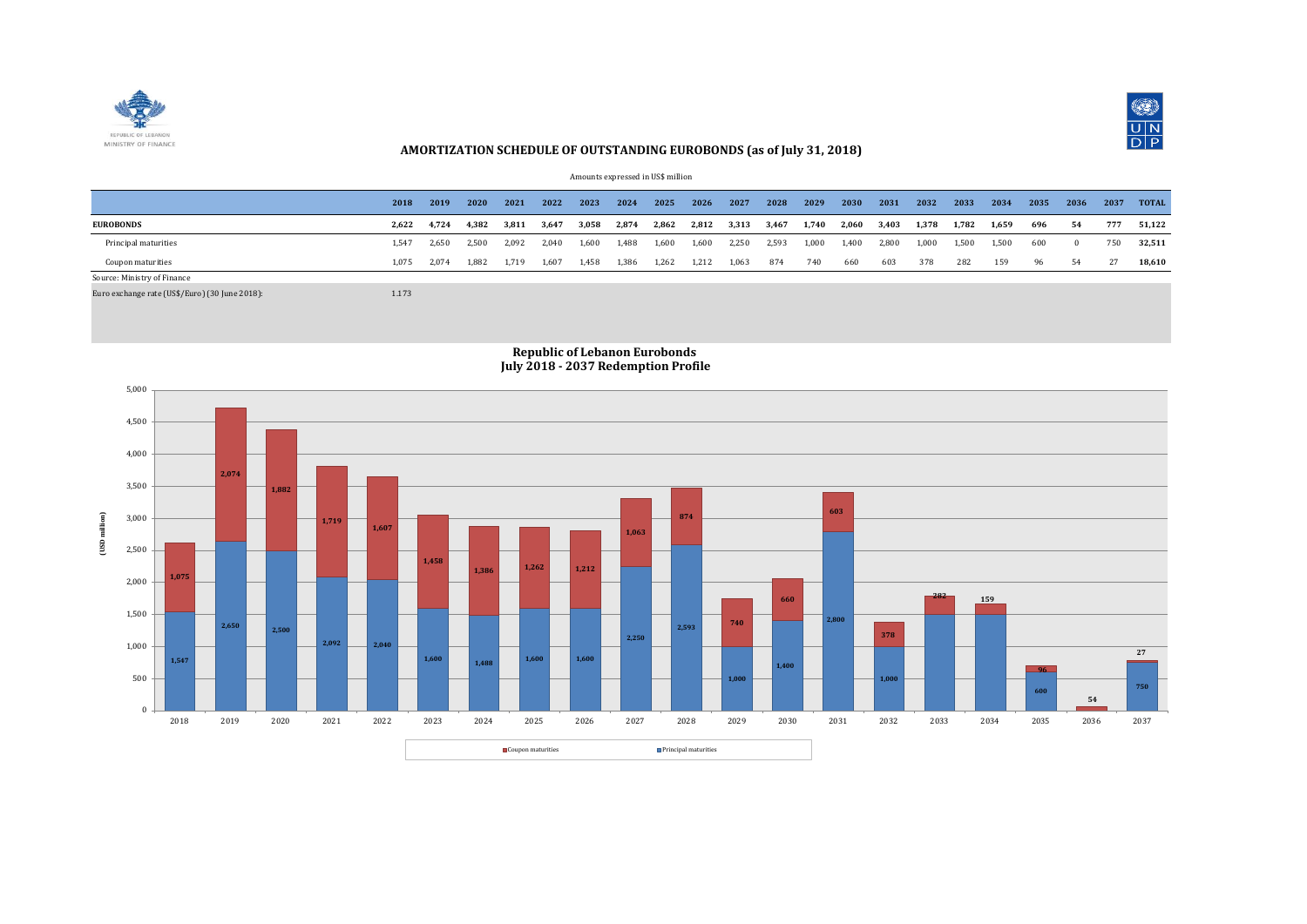



## **AMORTIZATION SCHEDULE OF OUTSTANDING EUROBONDS (as of July 31, 2018)**

|  | Amounts expressed in US\$ million |  |  |  |
|--|-----------------------------------|--|--|--|
|--|-----------------------------------|--|--|--|

|                             | 2018  | 2019  | 2020  | 2021  | 2022  | 2023  | 2024  | 2025  | 2026  | 2027  | 2028  | 2029  | 2030  | 2031  | 2032  | 2033  | 2034  | 2035 | 2036 | 2037 | <b>TOTAL</b> |
|-----------------------------|-------|-------|-------|-------|-------|-------|-------|-------|-------|-------|-------|-------|-------|-------|-------|-------|-------|------|------|------|--------------|
| <b>EUROBONDS</b>            | 2.622 | 4.724 | 4.382 | 3.811 | 3,647 | 3,058 | 2,874 | 2,862 | 2,812 | 3,313 | 3,467 | 1,740 | 2,060 | 3,403 | 1.378 | 1,782 | 1,659 | 696  | 54   | 777  | 51.122       |
| Principal maturities        | 1.547 | 2.650 | 2.500 | 2.092 | 2.040 | 1.600 | 1,488 | 1,600 | 1,600 | 2,250 | 2,593 | 1,000 | 1,400 | 2,800 | 1,000 | 1,500 | 1.500 | 600  |      | 750  | 32,511       |
| Coupon maturities           | 1.075 | 2.074 | 1.882 | 1.719 | 1,607 | 1,458 | 1,386 | 1,262 | 1,212 | 1,063 | 874   | 740   | 660   | 603   | 378   | 282   | 159   | 96   | 54   | -27  | 18,610       |
| Source: Ministry of Finance |       |       |       |       |       |       |       |       |       |       |       |       |       |       |       |       |       |      |      |      |              |

Euro exchange rate (US\$/Euro) (30 June 2018): 1.173

## **Republic of Lebanon Eurobonds July 2018 - 2037 Redemption Profile**

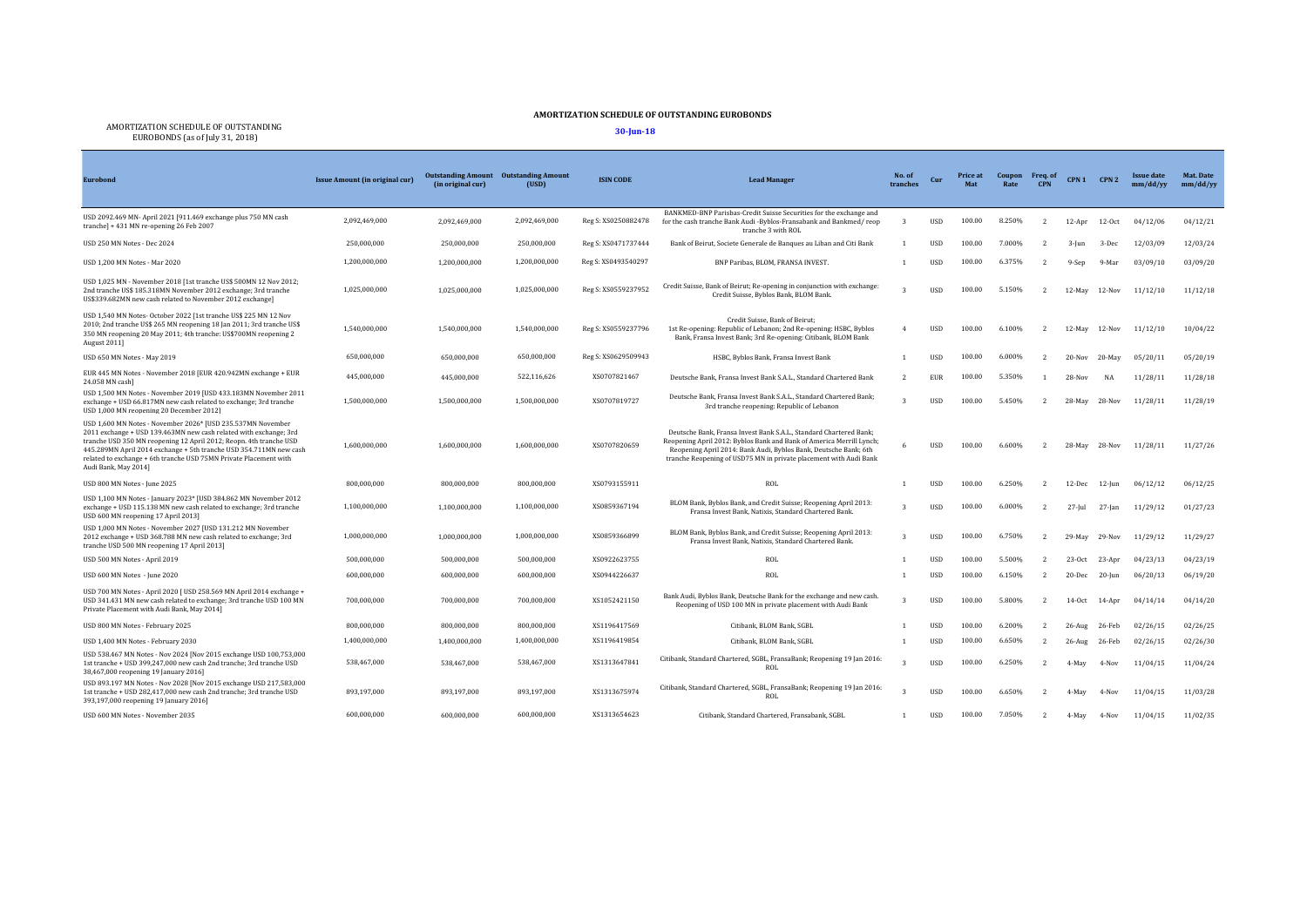## **AMORTIZATION SCHEDULE OF OUTSTANDING EUROBONDS**

AMORTIZATION SCHEDULE OF OUTSTANDING EUROBONDS (as of July 31, 2018) **30-Jun-18**

| <b>Eurobond</b>                                                                                                                                                                                                                                                                                                                                                           | Issue Amount (in original cur) | (in original cur) | <b>Outstanding Amount</b> Outstanding Amount<br>(USD) | <b>ISIN CODE</b>    | <b>Lead Manager</b>                                                                                                                                                                                                                                                                 | No. of<br>tranches | Cur         | Price at<br>Mat | Coupon<br>Rate | Freq. of<br><b>CPN</b> | CPN <sub>1</sub> | CPN <sub>2</sub> | <b>Issue date</b><br>mm/dd/yy | Mat. Date<br>mm/dd/yy |
|---------------------------------------------------------------------------------------------------------------------------------------------------------------------------------------------------------------------------------------------------------------------------------------------------------------------------------------------------------------------------|--------------------------------|-------------------|-------------------------------------------------------|---------------------|-------------------------------------------------------------------------------------------------------------------------------------------------------------------------------------------------------------------------------------------------------------------------------------|--------------------|-------------|-----------------|----------------|------------------------|------------------|------------------|-------------------------------|-----------------------|
| USD 2092.469 MN- April 2021 [911.469 exchange plus 750 MN cash<br>tranche] + 431 MN re-opening 26 Feb 2007                                                                                                                                                                                                                                                                | 2,092,469,000                  | 2,092,469,000     | 2,092,469,000                                         | Reg S: XS0250882478 | BANKMED-BNP Parisbas-Credit Suisse Securities for the exchange and<br>for the cash tranche Bank Audi -Byblos-Fransabank and Bankmed/reop<br>tranche 3 with ROL                                                                                                                      | 3                  | <b>USD</b>  | 100.00          | 8.250%         | $\overline{2}$         | 12-Apr           | 12-Oct           | 04/12/06                      | 04/12/21              |
| USD 250 MN Notes - Dec 2024                                                                                                                                                                                                                                                                                                                                               | 250,000,000                    | 250,000,000       | 250.000.000                                           | Reg S: XS0471737444 | Bank of Beirut, Societe Generale de Banques au Liban and Citi Bank                                                                                                                                                                                                                  |                    | <b>USD</b>  | 100.00          | 7.000%         |                        | $3$ -Jun         | 3-Dec            | 12/03/09                      | 12/03/24              |
| USD 1,200 MN Notes - Mar 2020                                                                                                                                                                                                                                                                                                                                             | 1,200,000,000                  | 1,200,000,000     | 1,200,000,000                                         | Reg S: XS0493540297 | BNP Paribas, BLOM, FRANSA INVEST.                                                                                                                                                                                                                                                   |                    | <b>USD</b>  | 100.00          | 6.375%         |                        | 9-Sep            | 9-Mar            | 03/09/10                      | 03/09/20              |
| USD 1,025 MN - November 2018 [1st tranche US\$ 500MN 12 Nov 2012;<br>2nd tranche US\$ 185.318MN November 2012 exchange; 3rd tranche<br>US\$339.682MN new cash related to November 2012 exchange]                                                                                                                                                                          | 1,025,000,000                  | 1,025,000,000     | 1,025,000,000                                         | Reg S: XS0559237952 | Credit Suisse, Bank of Beirut; Re-opening in conjunction with exchange:<br>Credit Suisse, Byblos Bank, BLOM Bank.                                                                                                                                                                   |                    | <b>USD</b>  | 100.00          | 5.150%         | $\overline{2}$         |                  | 12-May 12-Nov    | 11/12/10                      | 11/12/18              |
| USD 1,540 MN Notes- October 2022 [1st tranche US\$ 225 MN 12 Nov<br>2010; 2nd tranche US\$ 265 MN reopening 18 Jan 2011; 3rd tranche US\$<br>350 MN reopening 20 May 2011; 4th tranche: US\$700MN reopening 2<br>August 2011]                                                                                                                                             | 1,540,000,000                  | 1,540,000,000     | 1,540,000,000                                         | Reg S: XS0559237796 | Credit Suisse, Bank of Beirut;<br>1st Re-opening: Republic of Lebanon; 2nd Re-opening: HSBC, Byblos<br>Bank, Fransa Invest Bank; 3rd Re-opening: Citibank, BLOM Bank                                                                                                                |                    | <b>USD</b>  | 100.00          | 6.100%         |                        | 12-May           | 12-Nov           | 11/12/10                      | 10/04/22              |
| USD 650 MN Notes - May 2019                                                                                                                                                                                                                                                                                                                                               | 650,000,000                    | 650,000,000       | 650,000,000                                           | Reg S: XS0629509943 | HSBC, Byblos Bank, Fransa Invest Bank                                                                                                                                                                                                                                               |                    | <b>USD</b>  | 100.00          | 6.000%         |                        | $20-Nov$         | 20-May           | 05/20/11                      | 05/20/19              |
| EUR 445 MN Notes - November 2018 [EUR 420.942MN exchange + EUR<br>24.058 MN cashl                                                                                                                                                                                                                                                                                         | 445,000,000                    | 445,000,000       | 522,116,626                                           | XS0707821467        | Deutsche Bank, Fransa Invest Bank S.A.L., Standard Chartered Bank                                                                                                                                                                                                                   | $\overline{2}$     | <b>EUR</b>  | 100.00          | 5.350%         |                        | 28-Nov           | NA               | 11/28/11                      | 11/28/18              |
| USD 1,500 MN Notes - November 2019 [USD 433.183MN November 2011<br>exchange + USD 66.817MN new cash related to exchange; 3rd tranche<br>USD 1,000 MN reopening 20 December 2012]                                                                                                                                                                                          | 1,500,000,000                  | 1,500,000,000     | 1.500.000.000                                         | XS0707819727        | Deutsche Bank, Fransa Invest Bank S.A.L., Standard Chartered Bank:<br>3rd tranche reopening: Republic of Lebanon                                                                                                                                                                    |                    | <b>USD</b>  | 100.00          | 5.450%         | $\overline{2}$         | 28-May           | 28-Nov           | 11/28/11                      | 11/28/19              |
| USD 1,600 MN Notes - November 2026* [USD 235.537MN November<br>2011 exchange + USD 139.463MN new cash related with exchange; 3rd<br>tranche USD 350 MN reopening 12 April 2012; Reopn. 4th tranche USD<br>445.289MN April 2014 exchange + 5th tranche USD 354.711MN new cash<br>related to exchange + 6th tranche USD 75MN Private Placement with<br>Audi Bank, May 2014] | 1,600,000,000                  | 1,600,000,000     | 1,600,000,000                                         | XS0707820659        | Deutsche Bank, Fransa Invest Bank S.A.L., Standard Chartered Bank:<br>Reopening April 2012: Byblos Bank and Bank of America Merrill Lynch;<br>Reopening April 2014: Bank Audi, Byblos Bank, Deutsche Bank; 6th<br>tranche Reopening of USD75 MN in private placement with Audi Bank | -6                 | <b>USD</b>  | 100.00          | 6.600%         |                        | 28-May           | $28-Nov$         | 11/28/11                      | 11/27/26              |
| USD 800 MN Notes - June 2025                                                                                                                                                                                                                                                                                                                                              | 800.000.000                    | 800.000.000       | 800,000,000                                           | XS0793155911        | ROL                                                                                                                                                                                                                                                                                 |                    | <b>USD</b>  | 100.00          | 6.250%         | $\overline{2}$         | 12-Dec           | $12$ -Jun        | 06/12/12                      | 06/12/25              |
| USD 1.100 MN Notes - January 2023* [USD 384.862 MN November 2012<br>exchange + USD 115.138 MN new cash related to exchange; 3rd tranche<br>USD 600 MN reopening 17 April 2013]                                                                                                                                                                                            | 1,100,000,000                  | 1,100,000,000     | 1,100,000,000                                         | XS0859367194        | BLOM Bank, Byblos Bank, and Credit Suisse; Reopening April 2013:<br>Fransa Invest Bank, Natixis, Standard Chartered Bank,                                                                                                                                                           | $\mathbf{z}$       | <b>USD</b>  | 100.00          | 6.000%         |                        | $27$ -Jul        | $27$ -Jan        | 11/29/12                      | 01/27/23              |
| USD 1,000 MN Notes - November 2027 [USD 131.212 MN November<br>2012 exchange + USD 368.788 MN new cash related to exchange; 3rd<br>tranche USD 500 MN reopening 17 April 2013]                                                                                                                                                                                            | 1,000,000,000                  | 1.000.000.000     | 1,000,000,000                                         | XS0859366899        | BLOM Bank, Byblos Bank, and Credit Suisse; Reopening April 2013:<br>Fransa Invest Bank, Natixis, Standard Chartered Bank.                                                                                                                                                           |                    | <b>USD</b>  | 100.00          | 6.750%         |                        | 29-May           | 29-Nov           | 11/29/12                      | 11/29/27              |
| USD 500 MN Notes - April 2019                                                                                                                                                                                                                                                                                                                                             | 500.000.000                    | 500,000,000       | 500.000.000                                           | XS0922623755        | ROL                                                                                                                                                                                                                                                                                 |                    | <b>USD</b>  | 100.00          | 5.500%         |                        | $23-0ct$         | 23-Apr           | 04/23/13                      | 04/23/19              |
| USD 600 MN Notes - June 2020                                                                                                                                                                                                                                                                                                                                              | 600,000,000                    | 600.000.000       | 600,000,000                                           | XS0944226637        | ROL                                                                                                                                                                                                                                                                                 |                    | <b>USD</b>  | 100.00          | 6.150%         | $\overline{2}$         | 20-Dec 20-Jun    |                  | 06/20/13                      | 06/19/20              |
| USD 700 MN Notes - April 2020 [ USD 258.569 MN April 2014 exchange +<br>USD 341.431 MN new cash related to exchange; 3rd tranche USD 100 MN<br>Private Placement with Audi Bank, May 2014]                                                                                                                                                                                | 700,000,000                    | 700,000,000       | 700,000,000                                           | XS1052421150        | Bank Audi, Byblos Bank, Deutsche Bank for the exchange and new cash.<br>Reopening of USD 100 MN in private placement with Audi Bank                                                                                                                                                 | $\mathcal{R}$      | <b>USD</b>  | 100.00          | 5.800%         |                        | $14-0ct$         | 14-Apr           | 04/14/14                      | 04/14/20              |
| USD 800 MN Notes - February 2025                                                                                                                                                                                                                                                                                                                                          | 800,000,000                    | 800.000.000       | 800,000,000                                           | XS1196417569        | Citibank, BLOM Bank, SGBL                                                                                                                                                                                                                                                           |                    | <b>USD</b>  | 100.00          | 6.200%         |                        | $26$ -Aug        | 26-Feb           | 02/26/15                      | 02/26/25              |
| USD 1,400 MN Notes - February 2030                                                                                                                                                                                                                                                                                                                                        | 1,400,000,000                  | 1.400.000.000     | 1,400,000,000                                         | XS1196419854        | Citibank, BLOM Bank, SGBL                                                                                                                                                                                                                                                           |                    | <b>USD</b>  | 100.00          | 6.650%         |                        | $26$ -Aug        | 26-Feb           | 02/26/15                      | 02/26/30              |
| USD 538.467 MN Notes - Nov 2024 [Nov 2015 exchange USD 100,753,000<br>1st tranche + USD 399.247.000 new cash 2nd tranche: 3rd tranche USD<br>38,467,000 reopening 19 January 2016]                                                                                                                                                                                        | 538,467,000                    | 538.467.000       | 538,467,000                                           | XS1313647841        | Citibank, Standard Chartered, SGBL, FransaBank; Reopening 19 Jan 2016:<br>ROL                                                                                                                                                                                                       |                    | <b>USD</b>  | 100.00          | 6.250%         |                        | 4-May            | 4-Nov            | 11/04/15                      | 11/04/24              |
| USD 893.197 MN Notes - Nov 2028 [Nov 2015 exchange USD 217,583,000<br>1st tranche + USD 282,417,000 new cash 2nd tranche; 3rd tranche USD<br>393,197,000 reopening 19 January 2016]                                                                                                                                                                                       | 893,197,000                    | 893,197,000       | 893,197,000                                           | XS1313675974        | Citibank, Standard Chartered, SGBL, FransaBank; Reopening 19 Jan 2016:<br>ROL                                                                                                                                                                                                       |                    | <b>USD</b>  | 100.00          | 6.650%         |                        | 4-May            | 4-Nov            | 11/04/15                      | 11/03/28              |
| USD 600 MN Notes - November 2035                                                                                                                                                                                                                                                                                                                                          | 600.000.000                    | 600.000.000       | 600.000.000                                           | XS1313654623        | Citibank, Standard Chartered, Fransabank, SGBL                                                                                                                                                                                                                                      | $\overline{1}$     | <b>IISD</b> | 100.00          | 7.050%         |                        | 4-May            | $4-Nov$          | 11/04/15                      | 11/02/35              |